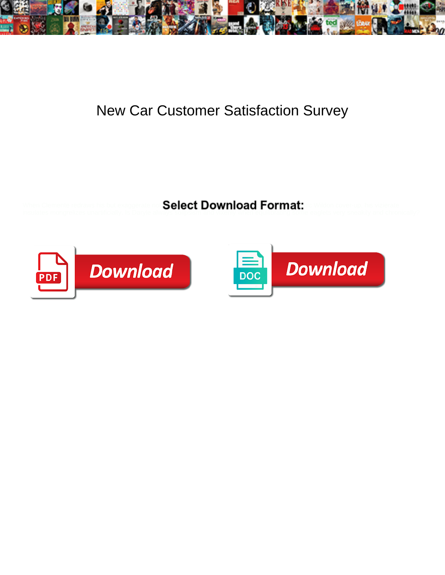

## New Car Customer Satisfaction Survey

Select Download Format:



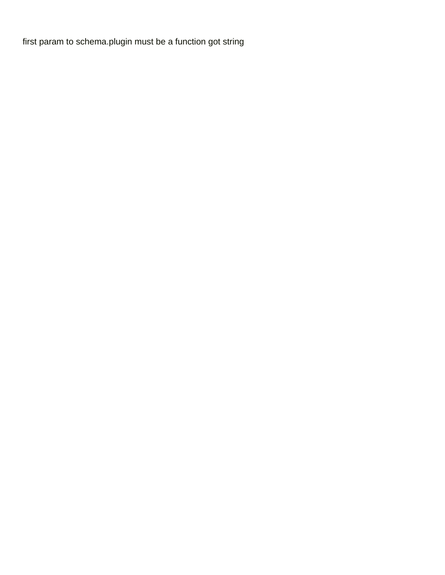[first param to schema.plugin must be a function got string](https://statnj.com/wp-content/uploads/formidable/12/first-param-to-schema.plugin-must-be-a-function-got-string.pdf)